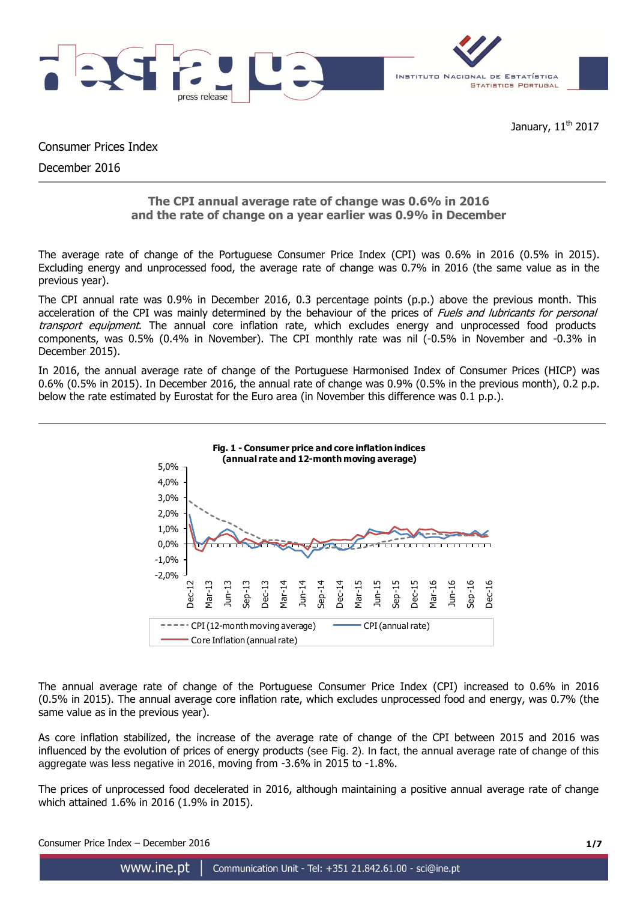



Consumer Prices Index

December 2016

# **The CPI annual average rate of change was 0.6% in 2016 and the rate of change on a year earlier was 0.9% in December**

The average rate of change of the Portuguese Consumer Price Index (CPI) was 0.6% in 2016 (0.5% in 2015). Excluding energy and unprocessed food, the average rate of change was 0.7% in 2016 (the same value as in the previous year).

The CPI annual rate was 0.9% in December 2016, 0.3 percentage points (p.p.) above the previous month. This acceleration of the CPI was mainly determined by the behaviour of the prices of Fuels and lubricants for personal transport equipment. The annual core inflation rate, which excludes energy and unprocessed food products components, was 0.5% (0.4% in November). The CPI monthly rate was nil (-0.5% in November and -0.3% in December 2015).

In 2016, the annual average rate of change of the Portuguese Harmonised Index of Consumer Prices (HICP) was 0.6% (0.5% in 2015). In December 2016, the annual rate of change was 0.9% (0.5% in the previous month), 0.2 p.p. below the rate estimated by Eurostat for the Euro area (in November this difference was 0.1 p.p.).



The annual average rate of change of the Portuguese Consumer Price Index (CPI) increased to 0.6% in 2016 (0.5% in 2015). The annual average core inflation rate, which excludes unprocessed food and energy, was 0.7% (the same value as in the previous year).

As core inflation stabilized, the increase of the average rate of change of the CPI between 2015 and 2016 was influenced by the evolution of prices of energy products (see Fig. 2). In fact, the annual average rate of change of this aggregate was less negative in 2016, moving from -3.6% in 2015 to -1.8%.

The prices of unprocessed food decelerated in 2016, although maintaining a positive annual average rate of change which attained 1.6% in 2016 (1.9% in 2015).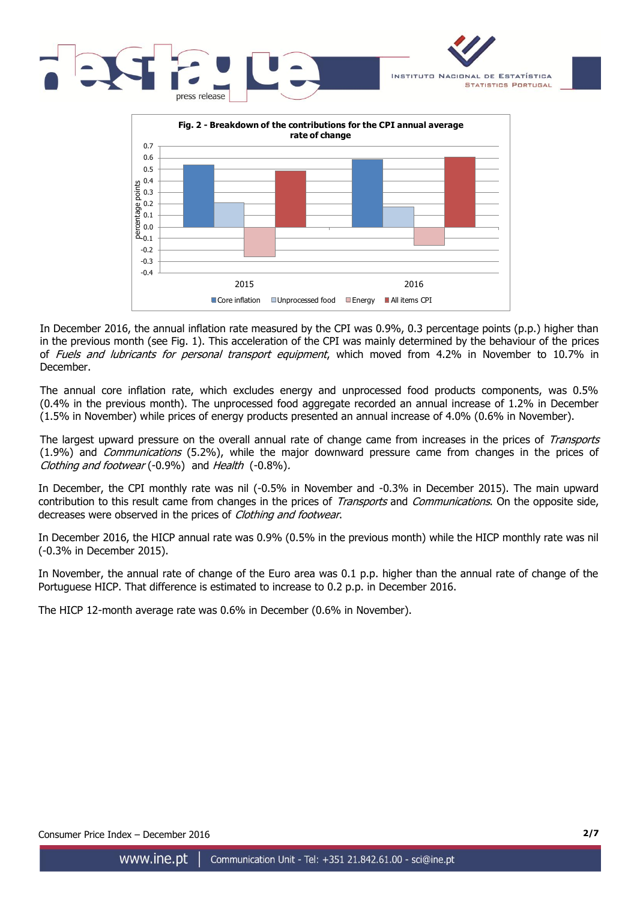



In December 2016, the annual inflation rate measured by the CPI was 0.9%, 0.3 percentage points (p.p.) higher than in the previous month (see Fig. 1). This acceleration of the CPI was mainly determined by the behaviour of the prices of *Fuels and lubricants for personal transport equipment*, which moved from 4.2% in November to 10.7% in December.

The annual core inflation rate, which excludes energy and unprocessed food products components, was 0.5% (0.4% in the previous month). The unprocessed food aggregate recorded an annual increase of 1.2% in December (1.5% in November) while prices of energy products presented an annual increase of 4.0% (0.6% in November).

The largest upward pressure on the overall annual rate of change came from increases in the prices of Transports (1.9%) and *Communications* (5.2%), while the major downward pressure came from changes in the prices of Clothing and footwear (-0.9%) and Health (-0.8%).

In December, the CPI monthly rate was nil (-0.5% in November and -0.3% in December 2015). The main upward contribution to this result came from changes in the prices of *Transports* and *Communications*. On the opposite side, decreases were observed in the prices of Clothing and footwear.

In December 2016, the HICP annual rate was 0.9% (0.5% in the previous month) while the HICP monthly rate was nil (-0.3% in December 2015).

In November, the annual rate of change of the Euro area was 0.1 p.p. higher than the annual rate of change of the Portuguese HICP. That difference is estimated to increase to 0.2 p.p. in December 2016.

The HICP 12-month average rate was 0.6% in December (0.6% in November).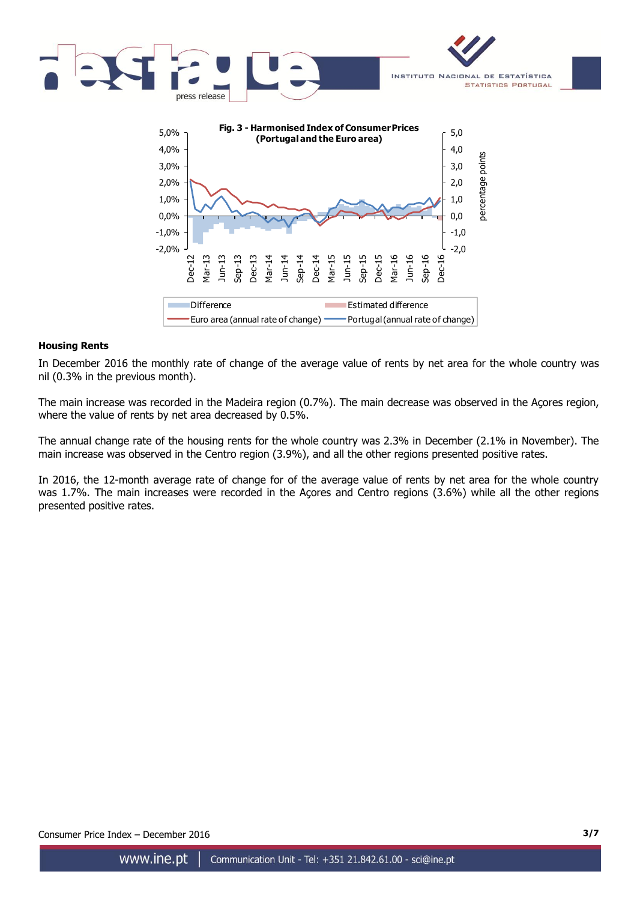

## **Housing Rents**

In December 2016 the monthly rate of change of the average value of rents by net area for the whole country was nil (0.3% in the previous month).

The main increase was recorded in the Madeira region (0.7%). The main decrease was observed in the Açores region, where the value of rents by net area decreased by 0.5%.

The annual change rate of the housing rents for the whole country was 2.3% in December (2.1% in November). The main increase was observed in the Centro region (3.9%), and all the other regions presented positive rates.

In 2016, the 12-month average rate of change for of the average value of rents by net area for the whole country was 1.7%. The main increases were recorded in the Açores and Centro regions (3.6%) while all the other regions presented positive rates.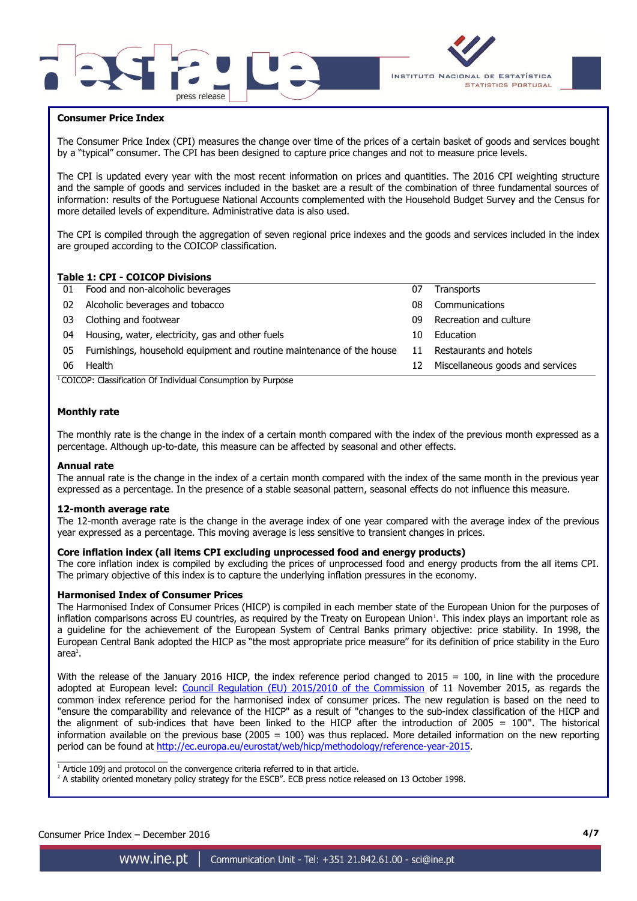



## **Consumer Price Index**

The Consumer Price Index (CPI) measures the change over time of the prices of a certain basket of goods and services bought by a "typical" consumer. The CPI has been designed to capture price changes and not to measure price levels.

The CPI is updated every year with the most recent information on prices and quantities. The 2016 CPI weighting structure and the sample of goods and services included in the basket are a result of the combination of three fundamental sources of information: results of the Portuguese National Accounts complemented with the Household Budget Survey and the Census for more detailed levels of expenditure. Administrative data is also used.

The CPI is compiled through the aggregation of seven regional price indexes and the goods and services included in the index are grouped according to the COICOP classification.

## **Table 1: CPI - COICOP Divisions**

| 01 Food and non-alcoholic beverages                                      | 07 | Transports                       |
|--------------------------------------------------------------------------|----|----------------------------------|
| Alcoholic beverages and tobacco                                          | 08 | Communications                   |
| Clothing and footwear                                                    | 09 | Recreation and culture           |
| Housing, water, electricity, gas and other fuels                         | 10 | Education                        |
| 05 Furnishings, household equipment and routine maintenance of the house | 11 | Restaurants and hotels           |
| Health                                                                   | 12 | Miscellaneous goods and services |
|                                                                          |    |                                  |

 $1$ COICOP: Classification Of Individual Consumption by Purpose

### **Monthly rate**

The monthly rate is the change in the index of a certain month compared with the index of the previous month expressed as a percentage. Although up-to-date, this measure can be affected by seasonal and other effects.

### **Annual rate**

The annual rate is the change in the index of a certain month compared with the index of the same month in the previous year expressed as a percentage. In the presence of a stable seasonal pattern, seasonal effects do not influence this measure.

#### **12-month average rate**

The 12-month average rate is the change in the average index of one year compared with the average index of the previous year expressed as a percentage. This moving average is less sensitive to transient changes in prices.

### **Core inflation index (all items CPI excluding unprocessed food and energy products)**

The core inflation index is compiled by excluding the prices of unprocessed food and energy products from the all items CPI. The primary objective of this index is to capture the underlying inflation pressures in the economy.

#### **Harmonised Index of Consumer Prices**

The Harmonised Index of Consumer Prices (HICP) is compiled in each member state of the European Union for the purposes of inflation comparisons across EU countries, as required by the Treaty on European Union<sup>1</sup>. This index plays an important role as a guideline for the achievement of the European System of Central Banks primary objective: price stability. In 1998, the European Central Bank adopted the HICP as "the most appropriate price measure" for its definition of price stability in the Euro  $area<sup>2</sup>$ .

With the release of the January 2016 HICP, the index reference period changed to  $2015 = 100$ , in line with the procedure adopted at European level: [Council Regulation \(EU\) 2015/2010 of the Commission](http://eur-lex.europa.eu/legal-content/EN/TXT/PDF/?uri=CELEX:32015R2010&from=EN) of 11 November 2015, as regards the common index reference period for the harmonised index of consumer prices. The new regulation is based on the need to "ensure the comparability and relevance of the HICP" as a result of "changes to the sub-index classification of the HICP and the alignment of sub-indices that have been linked to the HICP after the introduction of 2005 = 100". The historical information available on the previous base (2005 = 100) was thus replaced. More detailed information on the new reporting period can be found at [http://ec.europa.eu/eurostat/web/hicp/methodology/reference-year-2015.](http://ec.europa.eu/eurostat/web/hicp/methodology/reference-year-2015)

 $1$  Article 109j and protocol on the convergence criteria referred to in that article.

<sup>2</sup> A stability oriented monetary policy strategy for the ESCB". ECB press notice released on 13 October 1998.

Consumer Price Index – December 2016 **4/7**

 $\frac{1}{2}$  ,  $\frac{1}{2}$  ,  $\frac{1}{2}$  ,  $\frac{1}{2}$  ,  $\frac{1}{2}$  ,  $\frac{1}{2}$  ,  $\frac{1}{2}$  ,  $\frac{1}{2}$  ,  $\frac{1}{2}$  ,  $\frac{1}{2}$  ,  $\frac{1}{2}$  ,  $\frac{1}{2}$  ,  $\frac{1}{2}$  ,  $\frac{1}{2}$  ,  $\frac{1}{2}$  ,  $\frac{1}{2}$  ,  $\frac{1}{2}$  ,  $\frac{1}{2}$  ,  $\frac{1$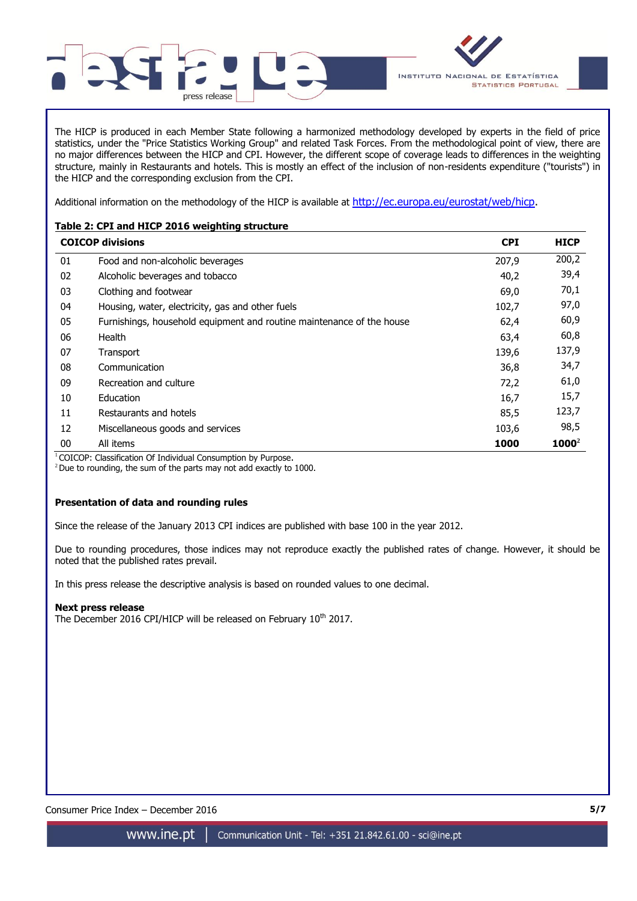

The HICP is produced in each Member State following a harmonized methodology developed by experts in the field of price statistics, under the "Price Statistics Working Group" and related Task Forces. From the methodological point of view, there are no major differences between the HICP and CPI. However, the different scope of coverage leads to differences in the weighting structure, mainly in Restaurants and hotels. This is mostly an effect of the inclusion of non-residents expenditure ("tourists") in the HICP and the corresponding exclusion from the CPI.

Additional information on the methodology of the HICP is available at [http://ec.europa.eu/eurostat/web/hicp.](http://ec.europa.eu/eurostat/web/hicp)

## **Table 2: CPI and HICP 2016 weighting structure**

|    | <b>COICOP divisions</b>                                               | <b>CPI</b> | <b>HICP</b> |
|----|-----------------------------------------------------------------------|------------|-------------|
| 01 | Food and non-alcoholic beverages                                      | 207,9      | 200,2       |
| 02 | Alcoholic beverages and tobacco                                       | 40,2       | 39,4        |
| 03 | Clothing and footwear                                                 | 69,0       | 70,1        |
| 04 | Housing, water, electricity, gas and other fuels                      | 102,7      | 97,0        |
| 05 | Furnishings, household equipment and routine maintenance of the house | 62,4       | 60,9        |
| 06 | Health                                                                | 63,4       | 60,8        |
| 07 | Transport                                                             | 139,6      | 137,9       |
| 08 | Communication                                                         | 36,8       | 34,7        |
| 09 | Recreation and culture                                                | 72,2       | 61,0        |
| 10 | Education                                                             | 16,7       | 15,7        |
| 11 | Restaurants and hotels                                                | 85,5       | 123,7       |
| 12 | Miscellaneous goods and services                                      | 103,6      | 98,5        |
| 00 | All items                                                             | 1000       | $1000^2$    |

<sup>1</sup> COICOP: Classification Of Individual Consumption by Purpose.

 $2$  Due to rounding, the sum of the parts may not add exactly to 1000.

## **Presentation of data and rounding rules**

Since the release of the January 2013 CPI indices are published with base 100 in the year 2012.

Due to rounding procedures, those indices may not reproduce exactly the published rates of change. However, it should be noted that the published rates prevail.

In this press release the descriptive analysis is based on rounded values to one decimal.

## **Next press release**

The December 2016 CPI/HICP will be released on February 10<sup>th</sup> 2017.

Consumer Price Index – December 2016 **5/7**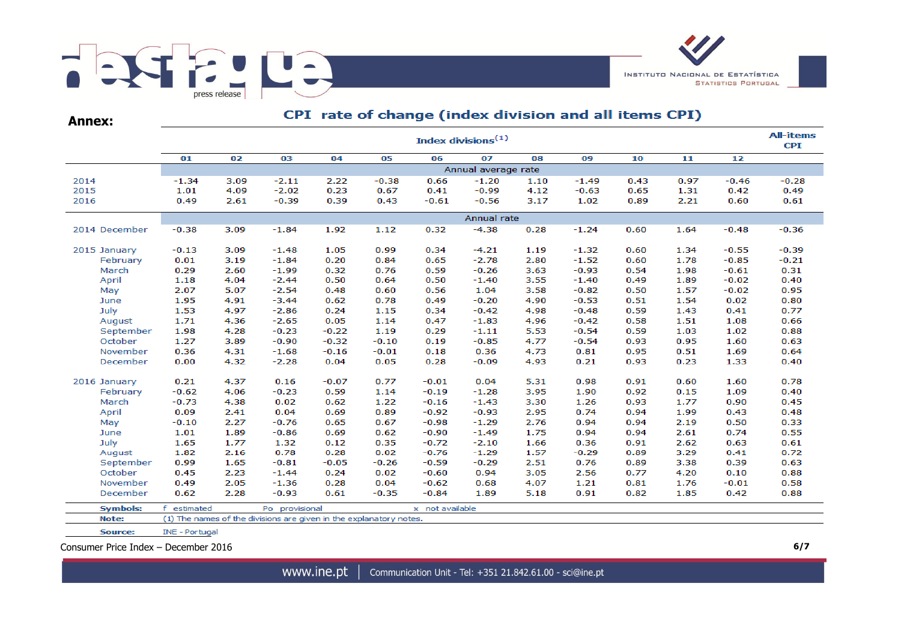

**Annex:**

# CPI rate of change (index division and all items CPI)

|                 | <b>All-items</b><br>Index divisions <sup>(1)</sup>                 |      |                |         |         |                 |                     |      |         |      |      |         |         |  |  |
|-----------------|--------------------------------------------------------------------|------|----------------|---------|---------|-----------------|---------------------|------|---------|------|------|---------|---------|--|--|
|                 | 01                                                                 | 02   | 03             | 04      | 05      | 06              | 07                  | 08   | 09      | 10   | 11   | 12      |         |  |  |
|                 |                                                                    |      |                |         |         |                 | Annual average rate |      |         |      |      |         |         |  |  |
| 2014            | $-1.34$                                                            | 3.09 | $-2.11$        | 2.22    | $-0.38$ | 0.66            | $-1.20$             | 1.10 | $-1.49$ | 0.43 | 0.97 | $-0.46$ | $-0.28$ |  |  |
| 2015            | 1.01                                                               | 4.09 | $-2.02$        | 0.23    | 0.67    | 0.41            | $-0.99$             | 4.12 | $-0.63$ | 0.65 | 1.31 | 0.42    | 0.49    |  |  |
| 2016            | 0.49                                                               | 2.61 | $-0.39$        | 0.39    | 0.43    | $-0.61$         | $-0.56$             | 3.17 | 1.02    | 0.89 | 2.21 | 0.60    | 0.61    |  |  |
|                 |                                                                    |      |                |         |         |                 | Annual rate         |      |         |      |      |         |         |  |  |
| 2014 December   | $-0.38$                                                            | 3.09 | $-1.84$        | 1.92    | 1.12    | 0.32            | $-4.38$             | 0.28 | $-1.24$ | 0.60 | 1.64 | $-0.48$ | $-0.36$ |  |  |
| 2015 January    | $-0.13$                                                            | 3.09 | $-1.48$        | 1.05    | 0.99    | 0.34            | $-4.21$             | 1.19 | $-1.32$ | 0.60 | 1.34 | $-0.55$ | $-0.39$ |  |  |
| February        | 0.01                                                               | 3.19 | $-1.84$        | 0.20    | 0.84    | 0.65            | $-2.78$             | 2.80 | $-1.52$ | 0.60 | 1.78 | $-0.85$ | $-0.21$ |  |  |
| March           | 0.29                                                               | 2.60 | $-1.99$        | 0.32    | 0.76    | 0.59            | $-0.26$             | 3.63 | $-0.93$ | 0.54 | 1.98 | $-0.61$ | 0.31    |  |  |
| April           | 1.18                                                               | 4.04 | $-2.44$        | 0.50    | 0.64    | 0.50            | $-1.40$             | 3.55 | $-1.40$ | 0.49 | 1.89 | $-0.02$ | 0.40    |  |  |
| May             | 2.07                                                               | 5.07 | $-2.54$        | 0.48    | 0.60    | 0.56            | 1.04                | 3.58 | $-0.82$ | 0.50 | 1.57 | $-0.02$ | 0.95    |  |  |
| June            | 1.95                                                               | 4.91 | $-3.44$        | 0.62    | 0.78    | 0.49            | $-0.20$             | 4.90 | $-0.53$ | 0.51 | 1.54 | 0.02    | 0.80    |  |  |
| July            | 1.53                                                               | 4.97 | $-2.86$        | 0.24    | 1.15    | 0.34            | $-0.42$             | 4.98 | $-0.48$ | 0.59 | 1.43 | 0.41    | 0.77    |  |  |
| August          | 1.71                                                               | 4.36 | $-2.65$        | 0.05    | 1.14    | 0.47            | $-1.83$             | 4.96 | $-0.42$ | 0.58 | 1.51 | 1.08    | 0.66    |  |  |
| September       | 1.98                                                               | 4.28 | $-0.23$        | $-0.22$ | 1.19    | 0.29            | $-1.11$             | 5.53 | $-0.54$ | 0.59 | 1.03 | 1.02    | 0.88    |  |  |
| October         | 1.27                                                               | 3.89 | $-0.90$        | $-0.32$ | $-0.10$ | 0.19            | $-0.85$             | 4.77 | $-0.54$ | 0.93 | 0.95 | 1.60    | 0.63    |  |  |
| November        | 0.36                                                               | 4.31 | $-1.68$        | $-0.16$ | $-0.01$ | 0.18            | 0.36                | 4.73 | 0.81    | 0.95 | 0.51 | 1.69    | 0.64    |  |  |
| December        | 0.00                                                               | 4.32 | $-2.28$        | 0.04    | 0.05    | 0.28            | $-0.09$             | 4.93 | 0.21    | 0.93 | 0.23 | 1.33    | 0.40    |  |  |
| 2016 January    | 0.21                                                               | 4.37 | 0.16           | $-0.07$ | 0.77    | $-0.01$         | 0.04                | 5.31 | 0.98    | 0.91 | 0.60 | 1.60    | 0.78    |  |  |
| February        | $-0.62$                                                            | 4.06 | $-0.23$        | 0.59    | 1.14    | $-0.19$         | $-1.28$             | 3.95 | 1.90    | 0.92 | 0.15 | 1.09    | 0.40    |  |  |
| March           | $-0.73$                                                            | 4.38 | 0.02           | 0.62    | 1.22    | $-0.16$         | $-1.43$             | 3.30 | 1.26    | 0.93 | 1.77 | 0.90    | 0.45    |  |  |
| April           | 0.09                                                               | 2.41 | 0.04           | 0.69    | 0.89    | $-0.92$         | $-0.93$             | 2.95 | 0.74    | 0.94 | 1.99 | 0.43    | 0.48    |  |  |
| May             | $-0.10$                                                            | 2.27 | $-0.76$        | 0.65    | 0.67    | $-0.98$         | $-1.29$             | 2.76 | 0.94    | 0.94 | 2.19 | 0.50    | 0.33    |  |  |
| June            | 1.01                                                               | 1.89 | $-0.86$        | 0.69    | 0.62    | $-0.90$         | $-1.49$             | 1.75 | 0.94    | 0.94 | 2.61 | 0.74    | 0.55    |  |  |
| July            | 1.65                                                               | 1.77 | 1.32           | 0.12    | 0.35    | $-0.72$         | $-2.10$             | 1.66 | 0.36    | 0.91 | 2.62 | 0.63    | 0.61    |  |  |
| August          | 1.82                                                               | 2.16 | 0.78           | 0.28    | 0.02    | $-0.76$         | $-1.29$             | 1.57 | $-0.29$ | 0.89 | 3.29 | 0.41    | 0.72    |  |  |
| September       | 0.99                                                               | 1.65 | $-0.81$        | $-0.05$ | $-0.26$ | $-0.59$         | $-0.29$             | 2.51 | 0.76    | 0.89 | 3.38 | 0.39    | 0.63    |  |  |
| October         | 0.45                                                               | 2.23 | $-1.44$        | 0.24    | 0.02    | $-0.60$         | 0.94                | 3.05 | 2.56    | 0.77 | 4.20 | 0.10    | 0.88    |  |  |
| November        | 0.49                                                               | 2.05 | $-1.36$        | 0.28    | 0.04    | $-0.62$         | 0.68                | 4.07 | 1.21    | 0.81 | 1.76 | $-0.01$ | 0.58    |  |  |
| December        | 0.62                                                               | 2.28 | $-0.93$        | 0.61    | $-0.35$ | $-0.84$         | 1.89                | 5.18 | 0.91    | 0.82 | 1.85 | 0.42    | 0.88    |  |  |
| <b>Symbols:</b> | f.<br>estimated                                                    |      | Po provisional |         |         | x not available |                     |      |         |      |      |         |         |  |  |
| Note:           | (1) The names of the divisions are given in the explanatory notes. |      |                |         |         |                 |                     |      |         |      |      |         |         |  |  |
| Source:         | INE - Portugal                                                     |      |                |         |         |                 |                     |      |         |      |      |         |         |  |  |

Consumer Price Index – December 2016 **6/7**

www.ine.pt |